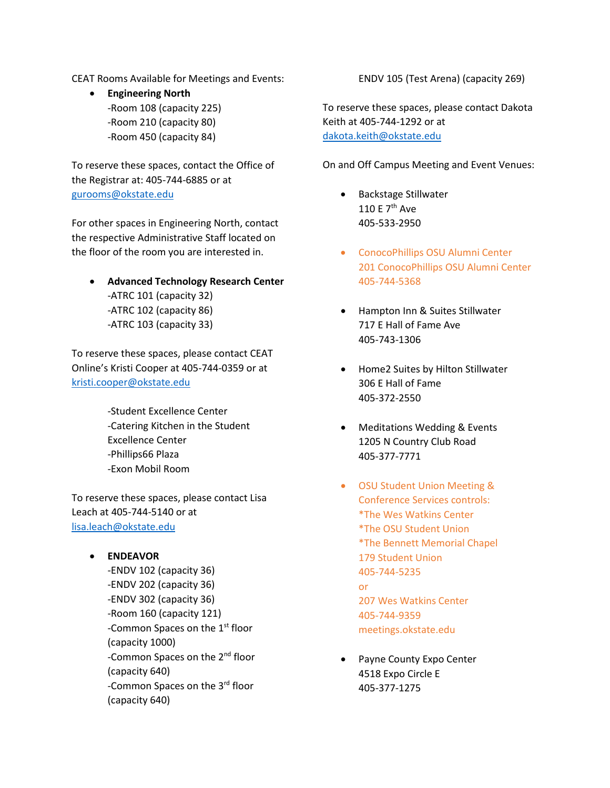CEAT Rooms Available for Meetings and Events:

• **Engineering North**  -Room 108 (capacity 225) -Room 210 (capacity 80) -Room 450 (capacity 84)

To reserve these spaces, contact the Office of the Registrar at: 405-744-6885 or at [gurooms@okstate.edu](mailto:gurooms@okstate.edu)

For other spaces in Engineering North, contact the respective Administrative Staff located on the floor of the room you are interested in.

• **Advanced Technology Research Center** -ATRC 101 (capacity 32) -ATRC 102 (capacity 86) -ATRC 103 (capacity 33)

To reserve these spaces, please contact CEAT Online's Kristi Cooper at 405-744-0359 or at [kristi.cooper@okstate.edu](mailto:kristi.cooper@okstate.edu)

> -Student Excellence Center -Catering Kitchen in the Student Excellence Center -Phillips66 Plaza -Exon Mobil Room

To reserve these spaces, please contact Lisa Leach at 405-744-5140 or at [lisa.leach@okstate.edu](mailto:lisa.leach@okstate.edu)

• **ENDEAVOR**  -ENDV 102 (capacity 36) -ENDV 202 (capacity 36) -ENDV 302 (capacity 36) -Room 160 (capacity 121) -Common Spaces on the 1<sup>st</sup> floor (capacity 1000) -Common Spaces on the 2<sup>nd</sup> floor (capacity 640) -Common Spaces on the 3rd floor (capacity 640)

ENDV 105 (Test Arena) (capacity 269)

To reserve these spaces, please contact Dakota Keith at 405-744-1292 or at [dakota.keith@okstate.edu](mailto:dakota.keith@okstate.edu)

On and Off Campus Meeting and Event Venues:

- Backstage Stillwater 110 E 7th Ave 405-533-2950
- ConocoPhillips OSU Alumni Center 201 ConocoPhillips OSU Alumni Center 405-744-5368
- Hampton Inn & Suites Stillwater 717 E Hall of Fame Ave 405-743-1306
- Home2 Suites by Hilton Stillwater 306 E Hall of Fame 405-372-2550
- Meditations Wedding & Events 1205 N Country Club Road 405-377-7771
- OSU Student Union Meeting & Conference Services controls: \*The Wes Watkins Center \*The OSU Student Union \*The Bennett Memorial Chapel 179 Student Union 405-744-5235 or 207 Wes Watkins Center 405-744-9359 meetings.okstate.edu

Payne County Expo Center 4518 Expo Circle E 405-377-1275